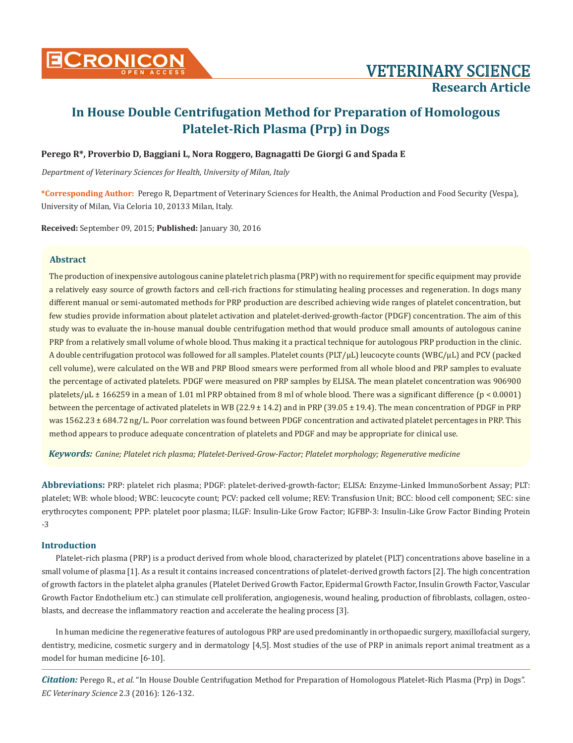

# **Perego R\*, Proverbio D, Baggiani L, Nora Roggero, Bagnagatti De Giorgi G and Spada E**

*Department of Veterinary Sciences for Health, University of Milan, Italy*

**\*Corresponding Author:** Perego R, Department of Veterinary Sciences for Health, the Animal Production and Food Security (Vespa), University of Milan, Via Celoria 10, 20133 Milan, Italy.

**Received:** September 09, 2015; **Published:** January 30, 2016

## **Abstract**

The production of inexpensive autologous canine platelet rich plasma (PRP) with no requirement for specific equipment may provide a relatively easy source of growth factors and cell-rich fractions for stimulating healing processes and regeneration. In dogs many different manual or semi-automated methods for PRP production are described achieving wide ranges of platelet concentration, but few studies provide information about platelet activation and platelet-derived-growth-factor (PDGF) concentration. The aim of this study was to evaluate the in-house manual double centrifugation method that would produce small amounts of autologous canine PRP from a relatively small volume of whole blood. Thus making it a practical technique for autologous PRP production in the clinic. A double centrifugation protocol was followed for all samples. Platelet counts (PLT/μL) leucocyte counts (WBC/μL) and PCV (packed cell volume), were calculated on the WB and PRP Blood smears were performed from all whole blood and PRP samples to evaluate the percentage of activated platelets. PDGF were measured on PRP samples by ELISA. The mean platelet concentration was 906900 platelets/µL ± 166259 in a mean of 1.01 ml PRP obtained from 8 ml of whole blood. There was a significant difference (p < 0.0001) between the percentage of activated platelets in WB (22.9 ± 14.2) and in PRP (39.05 ± 19.4). The mean concentration of PDGF in PRP was 1562.23 ± 684.72 ng/L. Poor correlation was found between PDGF concentration and activated platelet percentages in PRP. This method appears to produce adequate concentration of platelets and PDGF and may be appropriate for clinical use.

*Keywords: Canine; Platelet rich plasma; Platelet-Derived-Grow-Factor; Platelet morphology; Regenerative medicine*

**Abbreviations:** PRP: platelet rich plasma; PDGF: platelet-derived-growth-factor; ELISA: Enzyme-Linked ImmunoSorbent Assay; PLT: platelet; WB: whole blood; WBC: leucocyte count; PCV: packed cell volume; REV: Transfusion Unit; BCC: blood cell component; SEC: sine erythrocytes component; PPP: platelet poor plasma; ILGF: Insulin-Like Grow Factor; IGFBP-3: Insulin-Like Grow Factor Binding Protein -3

## **Introduction**

Platelet-rich plasma (PRP) is a product derived from whole blood, characterized by platelet (PLT) concentrations above baseline in a small volume of plasma [1]. As a result it contains increased concentrations of platelet-derived growth factors [2]. The high concentration of growth factors in the platelet alpha granules (Platelet Derived Growth Factor, Epidermal Growth Factor, Insulin Growth Factor, Vascular Growth Factor Endothelium etc.) can stimulate cell proliferation, angiogenesis, wound healing, production of fibroblasts, collagen, osteoblasts, and decrease the inflammatory reaction and accelerate the healing process [3].

In human medicine the regenerative features of autologous PRP are used predominantly in orthopaedic surgery, maxillofacial surgery, dentistry, medicine, cosmetic surgery and in dermatology [4,5]. Most studies of the use of PRP in animals report animal treatment as a model for human medicine [6-10].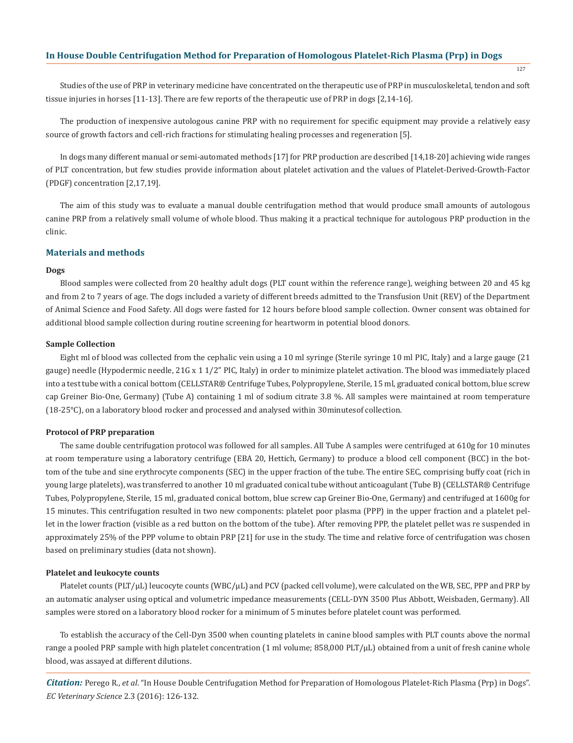Studies of the use of PRP in veterinary medicine have concentrated on the therapeutic use of PRP in musculoskeletal, tendon and soft tissue injuries in horses [11-13]. There are few reports of the therapeutic use of PRP in dogs [2,14-16].

The production of inexpensive autologous canine PRP with no requirement for specific equipment may provide a relatively easy source of growth factors and cell-rich fractions for stimulating healing processes and regeneration [5].

In dogs many different manual or semi-automated methods [17] for PRP production are described [14,18-20] achieving wide ranges of PLT concentration, but few studies provide information about platelet activation and the values of Platelet-Derived-Growth-Factor (PDGF) concentration [2,17,19].

The aim of this study was to evaluate a manual double centrifugation method that would produce small amounts of autologous canine PRP from a relatively small volume of whole blood. Thus making it a practical technique for autologous PRP production in the clinic.

## **Materials and methods**

#### **Dogs**

Blood samples were collected from 20 healthy adult dogs (PLT count within the reference range), weighing between 20 and 45 kg and from 2 to 7 years of age. The dogs included a variety of different breeds admitted to the Transfusion Unit (REV) of the Department of Animal Science and Food Safety. All dogs were fasted for 12 hours before blood sample collection. Owner consent was obtained for additional blood sample collection during routine screening for heartworm in potential blood donors.

#### **Sample Collection**

Eight ml of blood was collected from the cephalic vein using a 10 ml syringe (Sterile syringe 10 ml PIC, Italy) and a large gauge (21 gauge) needle (Hypodermic needle, 21G x 1 1/2" PIC, Italy) in order to minimize platelet activation. The blood was immediately placed into a test tube with a conical bottom (CELLSTAR® Centrifuge Tubes, Polypropylene, Sterile, 15 ml, graduated conical bottom, blue screw cap Greiner Bio-One, Germany) (Tube A) containing 1 ml of sodium citrate 3.8 %. All samples were maintained at room temperature (18-25°C), on a laboratory blood rocker and processed and analysed within 30minutesof collection.

#### **Protocol of PRP preparation**

The same double centrifugation protocol was followed for all samples. All Tube A samples were centrifuged at 610g for 10 minutes at room temperature using a laboratory centrifuge (EBA 20, Hettich, Germany) to produce a blood cell component (BCC) in the bottom of the tube and sine erythrocyte components (SEC) in the upper fraction of the tube. The entire SEC, comprising buffy coat (rich in young large platelets), was transferred to another 10 ml graduated conical tube without anticoagulant (Tube B) (CELLSTAR® Centrifuge Tubes, Polypropylene, Sterile, 15 ml, graduated conical bottom, blue screw cap Greiner Bio-One, Germany) and centrifuged at 1600g for 15 minutes. This centrifugation resulted in two new components: platelet poor plasma (PPP) in the upper fraction and a platelet pellet in the lower fraction (visible as a red button on the bottom of the tube). After removing PPP, the platelet pellet was re suspended in approximately 25% of the PPP volume to obtain PRP [21] for use in the study. The time and relative force of centrifugation was chosen based on preliminary studies (data not shown).

#### **Platelet and leukocyte counts**

Platelet counts (PLT/μL) leucocyte counts (WBC/μL) and PCV (packed cell volume), were calculated on the WB, SEC, PPP and PRP by an automatic analyser using optical and volumetric impedance measurements (CELL-DYN 3500 Plus Abbott, Weisbaden, Germany). All samples were stored on a laboratory blood rocker for a minimum of 5 minutes before platelet count was performed.

To establish the accuracy of the Cell-Dyn 3500 when counting platelets in canine blood samples with PLT counts above the normal range a pooled PRP sample with high platelet concentration (1 ml volume; 858,000 PLT/μL) obtained from a unit of fresh canine whole blood, was assayed at different dilutions.

*Citation:* Perego R., *et al*. "In House Double Centrifugation Method for Preparation of Homologous Platelet-Rich Plasma (Prp) in Dogs". *EC Veterinary Science* 2.3 (2016): 126-132.

127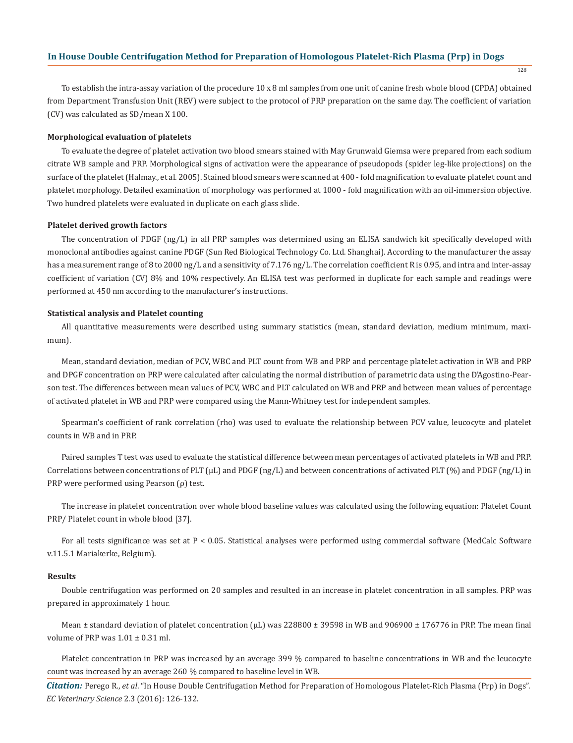To establish the intra-assay variation of the procedure 10 x 8 ml samples from one unit of canine fresh whole blood (CPDA) obtained from Department Transfusion Unit (REV) were subject to the protocol of PRP preparation on the same day. The coefficient of variation (CV) was calculated as SD/mean X 100.

#### **Morphological evaluation of platelets**

To evaluate the degree of platelet activation two blood smears stained with May Grunwald Giemsa were prepared from each sodium citrate WB sample and PRP. Morphological signs of activation were the appearance of pseudopods (spider leg-like projections) on the surface of the platelet (Halmay., et al. 2005). Stained blood smears were scanned at 400 - fold magnification to evaluate platelet count and platelet morphology. Detailed examination of morphology was performed at 1000 - fold magnification with an oil-immersion objective. Two hundred platelets were evaluated in duplicate on each glass slide.

#### **Platelet derived growth factors**

The concentration of PDGF (ng/L) in all PRP samples was determined using an ELISA sandwich kit specifically developed with monoclonal antibodies against canine PDGF (Sun Red Biological Technology Co. Ltd. Shanghai). According to the manufacturer the assay has a measurement range of 8 to 2000 ng/L and a sensitivity of 7.176 ng/L. The correlation coefficient R is 0.95, and intra and inter-assay coefficient of variation (CV) 8% and 10% respectively. An ELISA test was performed in duplicate for each sample and readings were performed at 450 nm according to the manufacturer's instructions.

#### **Statistical analysis and Platelet counting**

All quantitative measurements were described using summary statistics (mean, standard deviation, medium minimum, maximum).

Mean, standard deviation, median of PCV, WBC and PLT count from WB and PRP and percentage platelet activation in WB and PRP and DPGF concentration on PRP were calculated after calculating the normal distribution of parametric data using the D'Agostino-Pearson test. The differences between mean values of PCV, WBC and PLT calculated on WB and PRP and between mean values of percentage of activated platelet in WB and PRP were compared using the Mann-Whitney test for independent samples.

Spearman's coefficient of rank correlation (rho) was used to evaluate the relationship between PCV value, leucocyte and platelet counts in WB and in PRP.

Paired samples T test was used to evaluate the statistical difference between mean percentages of activated platelets in WB and PRP. Correlations between concentrations of PLT (μL) and PDGF (ng/L) and between concentrations of activated PLT (%) and PDGF (ng/L) in PRP were performed using Pearson (ρ) test.

The increase in platelet concentration over whole blood baseline values was calculated using the following equation: Platelet Count PRP/ Platelet count in whole blood [37].

For all tests significance was set at P < 0.05. Statistical analyses were performed using commercial software (MedCalc Software v.11.5.1 Mariakerke, Belgium).

#### **Results**

Double centrifugation was performed on 20 samples and resulted in an increase in platelet concentration in all samples. PRP was prepared in approximately 1 hour.

Mean  $\pm$  standard deviation of platelet concentration ( $\mu$ L) was 228800  $\pm$  39598 in WB and 906900  $\pm$  176776 in PRP. The mean final volume of PRP was  $1.01 \pm 0.31$  ml.

Platelet concentration in PRP was increased by an average 399 % compared to baseline concentrations in WB and the leucocyte count was increased by an average 260 % compared to baseline level in WB.

*Citation:* Perego R., *et al*. "In House Double Centrifugation Method for Preparation of Homologous Platelet-Rich Plasma (Prp) in Dogs". *EC Veterinary Science* 2.3 (2016): 126-132.

128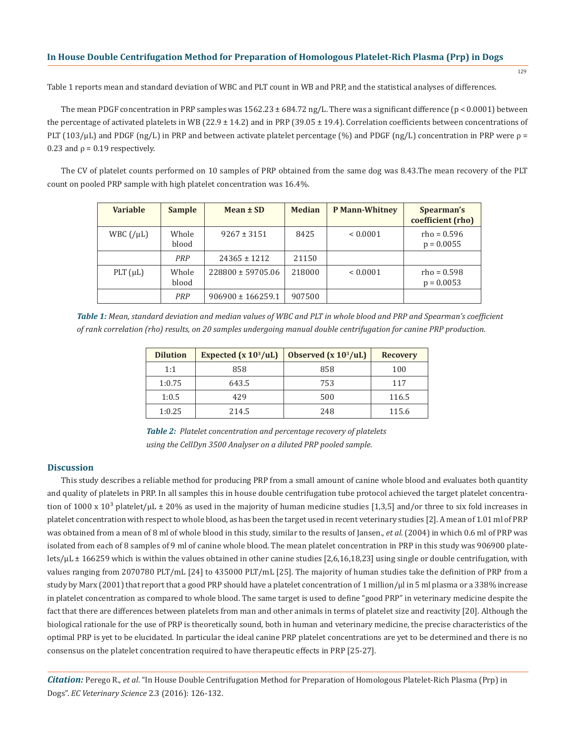129

Table 1 reports mean and standard deviation of WBC and PLT count in WB and PRP, and the statistical analyses of differences.

The mean PDGF concentration in PRP samples was  $1562.23 \pm 684.72$  ng/L. There was a significant difference (p < 0.0001) between the percentage of activated platelets in WB (22.9  $\pm$  14.2) and in PRP (39.05  $\pm$  19.4). Correlation coefficients between concentrations of PLT (103/μL) and PDGF (ng/L) in PRP and between activate platelet percentage (%) and PDGF (ng/L) concentration in PRP were ρ =  $0.23$  and  $\rho = 0.19$  respectively.

The CV of platelet counts performed on 10 samples of PRP obtained from the same dog was 8.43.The mean recovery of the PLT count on pooled PRP sample with high platelet concentration was 16.4%.

| <b>Variable</b>       | <b>Sample</b>  | Mean $\pm$ SD         | <b>Median</b> | <b>P Mann-Whitney</b> | Spearman's<br>coefficient (rho) |
|-----------------------|----------------|-----------------------|---------------|-----------------------|---------------------------------|
| WBC $\frac{1}{\mu L}$ | Whole<br>blood | $9267 \pm 3151$       | 8425          | < 0.0001              | $rho = 0.596$<br>$p = 0.0055$   |
|                       | PRP            | $24365 \pm 1212$      | 21150         |                       |                                 |
| PLT $(\mu L)$         | Whole<br>blood | 228800 ± 59705.06     | 218000        | < 0.0001              | $rho = 0.598$<br>$p = 0.0053$   |
|                       | PRP            | $906900 \pm 166259.1$ | 907500        |                       |                                 |

*Table 1: Mean, standard deviation and median values of WBC and PLT in whole blood and PRP and Spearman's coefficient of rank correlation (rho) results, on 20 samples undergoing manual double centrifugation for canine PRP production.*

| <b>Dilution</b> | Expected $(x 10^3/uL)$ | Observed $(x 10^3/uL)$ | <b>Recovery</b> |
|-----------------|------------------------|------------------------|-----------------|
| 1:1             | 858                    | 858                    | 100             |
| 1:0.75          | 643.5                  | 753                    | 117             |
| 1:0.5           | 429                    | 500                    | 116.5           |
| 1:0.25          | 214.5                  | 248                    | 115.6           |

*Table 2: Platelet concentration and percentage recovery of platelets using the CellDyn 3500 Analyser on a diluted PRP pooled sample.*

### **Discussion**

This study describes a reliable method for producing PRP from a small amount of canine whole blood and evaluates both quantity and quality of platelets in PRP. In all samples this in house double centrifugation tube protocol achieved the target platelet concentration of 1000 x 10<sup>3</sup> platelet/µL  $\pm$  20% as used in the majority of human medicine studies [1,3,5] and/or three to six fold increases in platelet concentration with respect to whole blood, as has been the target used in recent veterinary studies [2]. A mean of 1.01 ml of PRP was obtained from a mean of 8 ml of whole blood in this study, similar to the results of Jansen., *et al*. (2004) in which 0.6 ml of PRP was isolated from each of 8 samples of 9 ml of canine whole blood. The mean platelet concentration in PRP in this study was 906900 platelets/µL ± 166259 which is within the values obtained in other canine studies [2,6,16,18,23] using single or double centrifugation, with values ranging from 2070780 PLT/mL [24] to 435000 PLT/mL [25]. The majority of human studies take the definition of PRP from a study by Marx (2001) that report that a good PRP should have a platelet concentration of 1 million/μl in 5 ml plasma or a 338% increase in platelet concentration as compared to whole blood. The same target is used to define "good PRP" in veterinary medicine despite the fact that there are differences between platelets from man and other animals in terms of platelet size and reactivity [20]. Although the biological rationale for the use of PRP is theoretically sound, both in human and veterinary medicine, the precise characteristics of the optimal PRP is yet to be elucidated. In particular the ideal canine PRP platelet concentrations are yet to be determined and there is no consensus on the platelet concentration required to have therapeutic effects in PRP [25-27].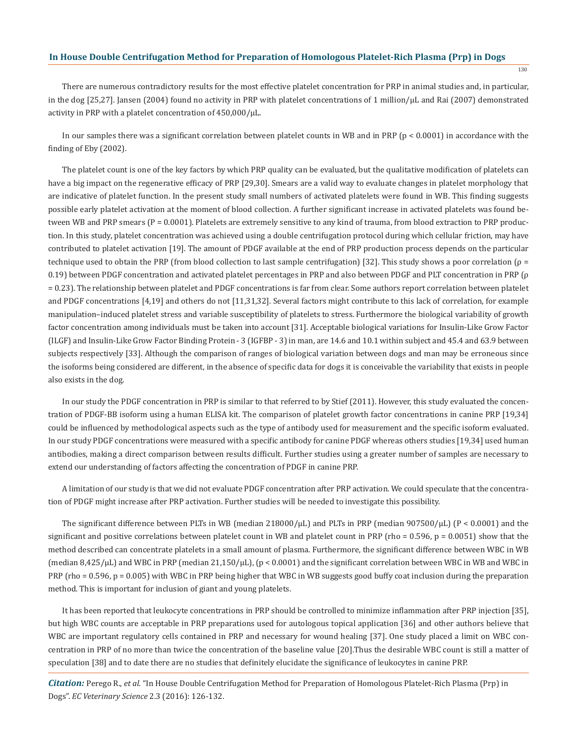130

There are numerous contradictory results for the most effective platelet concentration for PRP in animal studies and, in particular, in the dog [25,27]. Jansen (2004) found no activity in PRP with platelet concentrations of 1 million/µL and Rai (2007) demonstrated activity in PRP with a platelet concentration of  $450,000/\mu L$ .

In our samples there was a significant correlation between platelet counts in WB and in PRP ( $p < 0.0001$ ) in accordance with the finding of Eby (2002).

The platelet count is one of the key factors by which PRP quality can be evaluated, but the qualitative modification of platelets can have a big impact on the regenerative efficacy of PRP [29,30]. Smears are a valid way to evaluate changes in platelet morphology that are indicative of platelet function. In the present study small numbers of activated platelets were found in WB. This finding suggests possible early platelet activation at the moment of blood collection. A further significant increase in activated platelets was found between WB and PRP smears (P = 0.0001). Platelets are extremely sensitive to any kind of trauma, from blood extraction to PRP production. In this study, platelet concentration was achieved using a double centrifugation protocol during which cellular friction, may have contributed to platelet activation [19]. The amount of PDGF available at the end of PRP production process depends on the particular technique used to obtain the PRP (from blood collection to last sample centrifugation) [32]. This study shows a poor correlation (ρ = 0.19) between PDGF concentration and activated platelet percentages in PRP and also between PDGF and PLT concentration in PRP (ρ = 0.23). The relationship between platelet and PDGF concentrations is far from clear. Some authors report correlation between platelet and PDGF concentrations [4,19] and others do not [11,31,32]. Several factors might contribute to this lack of correlation, for example manipulation–induced platelet stress and variable susceptibility of platelets to stress. Furthermore the biological variability of growth factor concentration among individuals must be taken into account [31]. Acceptable biological variations for Insulin-Like Grow Factor (ILGF) and Insulin-Like Grow Factor Binding Protein - 3 (IGFBP - 3) in man, are 14.6 and 10.1 within subject and 45.4 and 63.9 between subjects respectively [33]. Although the comparison of ranges of biological variation between dogs and man may be erroneous since the isoforms being considered are different, in the absence of specific data for dogs it is conceivable the variability that exists in people also exists in the dog.

In our study the PDGF concentration in PRP is similar to that referred to by Stief (2011). However, this study evaluated the concentration of PDGF-BB isoform using a human ELISA kit. The comparison of platelet growth factor concentrations in canine PRP [19,34] could be influenced by methodological aspects such as the type of antibody used for measurement and the specific isoform evaluated. In our study PDGF concentrations were measured with a specific antibody for canine PDGF whereas others studies [19,34] used human antibodies, making a direct comparison between results difficult. Further studies using a greater number of samples are necessary to extend our understanding of factors affecting the concentration of PDGF in canine PRP.

A limitation of our study is that we did not evaluate PDGF concentration after PRP activation. We could speculate that the concentration of PDGF might increase after PRP activation. Further studies will be needed to investigate this possibility.

The significant difference between PLTs in WB (median  $218000/\mu$ L) and PLTs in PRP (median 907500/ $\mu$ L) (P < 0.0001) and the significant and positive correlations between platelet count in WB and platelet count in PRP (rho =  $0.596$ , p =  $0.0051$ ) show that the method described can concentrate platelets in a small amount of plasma. Furthermore, the significant difference between WBC in WB (median 8,425/μL) and WBC in PRP (median 21,150/μL), (p < 0.0001) and the significant correlation between WBC in WB and WBC in PRP (rho = 0.596, p = 0.005) with WBC in PRP being higher that WBC in WB suggests good buffy coat inclusion during the preparation method. This is important for inclusion of giant and young platelets.

It has been reported that leukocyte concentrations in PRP should be controlled to minimize inflammation after PRP injection [35], but high WBC counts are acceptable in PRP preparations used for autologous topical application [36] and other authors believe that WBC are important regulatory cells contained in PRP and necessary for wound healing [37]. One study placed a limit on WBC concentration in PRP of no more than twice the concentration of the baseline value [20].Thus the desirable WBC count is still a matter of speculation [38] and to date there are no studies that definitely elucidate the significance of leukocytes in canine PRP.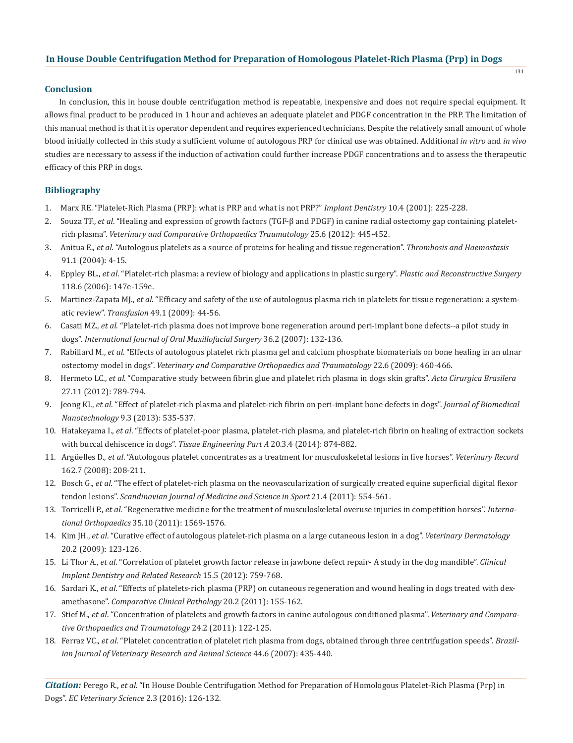## **Conclusion**

In conclusion, this in house double centrifugation method is repeatable, inexpensive and does not require special equipment. It allows final product to be produced in 1 hour and achieves an adequate platelet and PDGF concentration in the PRP. The limitation of this manual method is that it is operator dependent and requires experienced technicians. Despite the relatively small amount of whole blood initially collected in this study a sufficient volume of autologous PRP for clinical use was obtained. Additional *in vitro* and *in vivo* studies are necessary to assess if the induction of activation could further increase PDGF concentrations and to assess the therapeutic efficacy of this PRP in dogs.

# **Bibliography**

- 1. Marx RE. "Platelet-Rich Plasma (PRP): what is PRP and what is not PRP?" *Implant Dentistry* 10.4 (2001): 225-228.
- 2. Souza TF., *et al*. "Healing and expression of growth factors (TGF-β and PDGF) in canine radial ostectomy gap containing platelet rich plasma". *Veterinary and Comparative Orthopaedics Traumatology* 25.6 (2012): 445-452.
- 3. Anitua E., *et al*. "Autologous platelets as a source of proteins for healing and tissue regeneration". *Thrombosis and Haemostasis* 91.1 (2004): 4-15.
- 4. Eppley BL., *et al*. "Platelet-rich plasma: a review of biology and applications in plastic surgery". *Plastic and Reconstructive Surgery* 118.6 (2006): 147e-159e.
- 5. Martinez-Zapata MJ., *et al*. "Efficacy and safety of the use of autologous plasma rich in platelets for tissue regeneration: a system atic review". *Transfusion* 49.1 (2009): 44-56.
- 6. Casati MZ., *et al*. "Platelet-rich plasma does not improve bone regeneration around peri-implant bone defects--a pilot study in dogs". *International Journal of Oral Maxillofacial Surgery* 36.2 (2007): 132-136.
- 7. Rabillard M., *et al*. "Effects of autologous platelet rich plasma gel and calcium phosphate biomaterials on bone healing in an ulnar ostectomy model in dogs". *Veterinary and Comparative Orthopaedics and Traumatology* 22.6 (2009): 460-466.
- 8. Hermeto LC., *et al*. "Comparative study between fibrin glue and platelet rich plasma in dogs skin grafts". *Acta Cirurgica Brasilera*  27.11 (2012): 789-794.
- 9. Jeong KI., *et al*. "Effect of platelet-rich plasma and platelet-rich fibrin on peri-implant bone defects in dogs". *Journal of Biomedical Nanotechnology* 9.3 (2013): 535-537.
- 10. Hatakeyama I., *et al*. "Effects of platelet-poor plasma, platelet-rich plasma, and platelet-rich fibrin on healing of extraction sockets with buccal dehiscence in dogs". *Tissue Engineering Part A* 20.3.4 (2014): 874-882.
- 11. Argüelles D., *et al*. "Autologous platelet concentrates as a treatment for musculoskeletal lesions in five horses". *Veterinary Record*  162.7 (2008): 208-211.
- 12. Bosch G., *et al.* "The effect of platelet-rich plasma on the neovascularization of surgically created equine superficial digital flexor tendon lesions". *Scandinavian Journal of Medicine and Science in Sport* 21.4 (2011): 554-561.
- 13. Torricelli P., *et al.* "Regenerative medicine for the treatment of musculoskeletal overuse injuries in competition horses". *Interna tional Orthopaedics* 35.10 (2011): 1569-1576.
- 14. Kim JH., *et al*. "Curative effect of autologous platelet-rich plasma on a large cutaneous lesion in a dog". *Veterinary Dermatology* 20.2 (2009): 123-126.
- 15. Li Thor A., *et al*. "Correlation of platelet growth factor release in jawbone defect repair- A study in the dog mandible". *Clinical Implant Dentistry and Related Research* 15.5 (2012): 759-768.
- 16. Sardari K., *et al*. "Effects of platelets-rich plasma (PRP) on cutaneous regeneration and wound healing in dogs treated with dex amethasone". *Comparative Clinical Pathology* 20.2 (2011): 155-162.
- 17. Stief M., *et al*. "Concentration of platelets and growth factors in canine autologous conditioned plasma". *Veterinary and Compara tive Orthopaedics and Traumatology* 24.2 (2011): 122-125.
- 18. Ferraz VC., *et al*. "Platelet concentration of platelet rich plasma from dogs, obtained through three centrifugation speeds". *Brazil ian Journal of Veterinary Research and Animal Science* 44.6 (2007): 435-440.